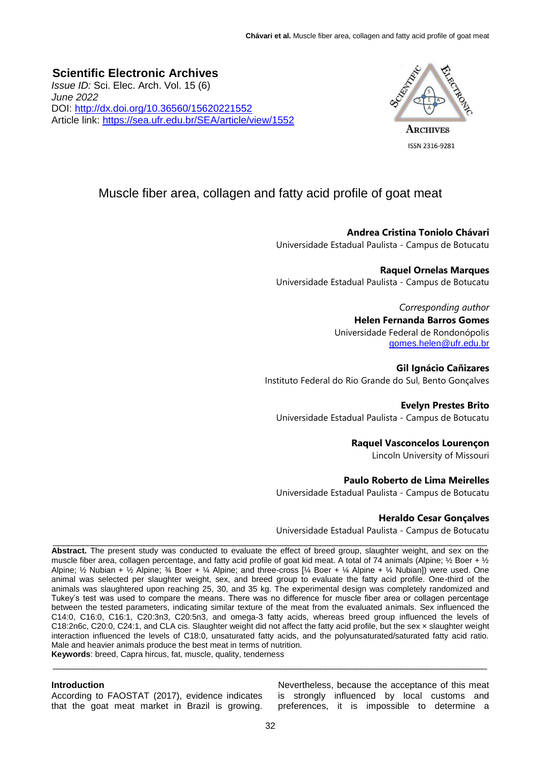**Scientific Electronic Archives**  *Issue ID:* Sci. Elec. Arch. Vol. 15 (6) *June 2022* DOI:<http://dx.doi.org/10.36560/15620221552> Article link:<https://sea.ufr.edu.br/SEA/article/view/1552>



ISSN 2316-9281

# Muscle fiber area, collagen and fatty acid profile of goat meat

**Andrea Cristina Toniolo Chávari**

Universidade Estadual Paulista - Campus de Botucatu

**Raquel Ornelas Marques** Universidade Estadual Paulista - Campus de Botucatu

> *Corresponding author* **Helen Fernanda Barros Gomes** Universidade Federal de Rondonópolis [gomes.helen@ufr.edu.br](mailto:gomes.helen@ufr.edu.br)

**Gil Ignácio Cañizares** Instituto Federal do Rio Grande do Sul, Bento Gonçalves

**Evelyn Prestes Brito** Universidade Estadual Paulista - Campus de Botucatu

**Raquel Vasconcelos Lourençon**

Lincoln University of Missouri

## **Paulo Roberto de Lima Meirelles**

Universidade Estadual Paulista - Campus de Botucatu

## **Heraldo Cesar Gonçalves**

Universidade Estadual Paulista - Campus de Botucatu

\_\_\_\_\_\_\_\_\_\_\_\_\_\_\_\_\_\_\_\_\_\_\_\_\_\_\_\_\_\_\_\_\_\_\_\_\_\_\_\_\_\_\_\_\_\_\_\_\_\_\_\_\_\_\_\_\_\_\_\_\_\_\_\_\_\_\_\_\_\_\_\_\_\_\_\_\_\_\_\_\_\_\_\_\_\_ **Abstract.** The present study was conducted to evaluate the effect of breed group, slaughter weight, and sex on the muscle fiber area, collagen percentage, and fatty acid profile of goat kid meat. A total of 74 animals (Alpine; 1/2 Boer + 1/2 Alpine; ½ Nubian + ½ Alpine; ¾ Boer + ¼ Alpine; and three-cross [¼ Boer + ¼ Alpine + ¼ Nubian]) were used. One animal was selected per slaughter weight, sex, and breed group to evaluate the fatty acid profile. One-third of the animals was slaughtered upon reaching 25, 30, and 35 kg. The experimental design was completely randomized and Tukey's test was used to compare the means. There was no difference for muscle fiber area or collagen percentage between the tested parameters, indicating similar texture of the meat from the evaluated animals. Sex influenced the C14:0, C16:0, C16:1, C20:3n3, C20:5n3, and omega-3 fatty acids, whereas breed group influenced the levels of C18:2n6c, C20:0, C24:1, and CLA cis. Slaughter weight did not affect the fatty acid profile, but the sex × slaughter weight interaction influenced the levels of C18:0, unsaturated fatty acids, and the polyunsaturated/saturated fatty acid ratio. Male and heavier animals produce the best meat in terms of nutrition.

**Keywords**: breed, Capra hircus, fat, muscle, quality, tenderness \_\_\_\_\_\_\_\_\_\_\_\_\_\_\_\_\_\_\_\_\_\_\_\_\_\_\_\_\_\_\_\_\_\_\_\_\_\_\_\_\_\_\_\_\_\_\_\_\_\_\_\_\_\_\_\_\_\_\_\_\_\_\_\_\_\_\_\_\_\_\_\_\_\_\_\_\_\_\_\_\_\_\_\_\_\_

#### **Introduction**

According to FAOSTAT (2017), evidence indicates that the goat meat market in Brazil is growing. Nevertheless, because the acceptance of this meat is strongly influenced by local customs and preferences, it is impossible to determine a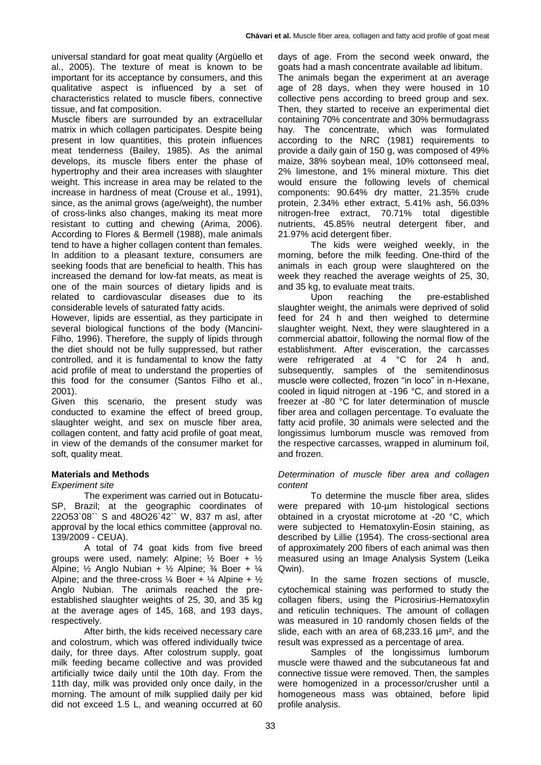universal standard for goat meat quality (Argüello et al., 2005). The texture of meat is known to be important for its acceptance by consumers, and this qualitative aspect is influenced by a set of characteristics related to muscle fibers, connective tissue, and fat composition.

Muscle fibers are surrounded by an extracellular matrix in which collagen participates. Despite being present in low quantities, this protein influences meat tenderness (Bailey, 1985). As the animal develops, its muscle fibers enter the phase of hypertrophy and their area increases with slaughter weight. This increase in area may be related to the increase in hardness of meat (Crouse et al., 1991), since, as the animal grows (age/weight), the number of cross-links also changes, making its meat more resistant to cutting and chewing (Arima, 2006). According to Flores & Bermell (1988), male animals tend to have a higher collagen content than females. In addition to a pleasant texture, consumers are seeking foods that are beneficial to health. This has increased the demand for low-fat meats, as meat is one of the main sources of dietary lipids and is related to cardiovascular diseases due to its considerable levels of saturated fatty acids.

However, lipids are essential, as they participate in several biological functions of the body (Mancini-Filho, 1996). Therefore, the supply of lipids through the diet should not be fully suppressed, but rather controlled, and it is fundamental to know the fatty acid profile of meat to understand the properties of this food for the consumer (Santos Filho et al., 2001).

Given this scenario, the present study was conducted to examine the effect of breed group, slaughter weight, and sex on muscle fiber area, collagen content, and fatty acid profile of goat meat, in view of the demands of the consumer market for soft, quality meat.

## **Materials and Methods**

*Experiment site*

The experiment was carried out in Botucatu-SP, Brazil; at the geographic coordinates of 22O53`08`` S and 48O26`42`` W, 837 m asl, after approval by the local ethics committee (approval no. 139/2009 - CEUA).

A total of 74 goat kids from five breed groups were used, namely: Alpine;  $\frac{1}{2}$  Boer +  $\frac{1}{2}$ Alpine;  $\frac{1}{2}$  Anglo Nubian +  $\frac{1}{2}$  Alpine;  $\frac{3}{4}$  Boer +  $\frac{1}{4}$ Alpine; and the three-cross  $\frac{1}{4}$  Boer +  $\frac{1}{4}$  Alpine +  $\frac{1}{2}$ Anglo Nubian. The animals reached the preestablished slaughter weights of 25, 30, and 35 kg at the average ages of 145, 168, and 193 days, respectively.

After birth, the kids received necessary care and colostrum, which was offered individually twice daily, for three days. After colostrum supply, goat milk feeding became collective and was provided artificially twice daily until the 10th day. From the 11th day, milk was provided only once daily, in the morning. The amount of milk supplied daily per kid did not exceed 1.5 L, and weaning occurred at 60

days of age. From the second week onward, the goats had a mash concentrate available ad libitum.

The animals began the experiment at an average age of 28 days, when they were housed in 10 collective pens according to breed group and sex. Then, they started to receive an experimental diet containing 70% concentrate and 30% bermudagrass hay. The concentrate, which was formulated according to the NRC (1981) requirements to provide a daily gain of 150 g, was composed of 49% maize, 38% soybean meal, 10% cottonseed meal, 2% limestone, and 1% mineral mixture. This diet would ensure the following levels of chemical components: 90.64% dry matter, 21.35% crude protein, 2.34% ether extract, 5.41% ash, 56.03% nitrogen-free extract, 70.71% total digestible nutrients, 45.85% neutral detergent fiber, and 21.97% acid detergent fiber.

The kids were weighed weekly, in the morning, before the milk feeding. One-third of the animals in each group were slaughtered on the week they reached the average weights of 25, 30, and 35 kg, to evaluate meat traits.

Upon reaching the pre-established slaughter weight, the animals were deprived of solid feed for 24 h and then weighed to determine slaughter weight. Next, they were slaughtered in a commercial abattoir, following the normal flow of the establishment. After evisceration, the carcasses were refrigerated at 4 °C for 24 h and, subsequently, samples of the semitendinosus muscle were collected, frozen "in loco" in n-Hexane, cooled in liquid nitrogen at -196 °C, and stored in a freezer at -80 °C for later determination of muscle fiber area and collagen percentage. To evaluate the fatty acid profile, 30 animals were selected and the longissimus lumborum muscle was removed from the respective carcasses, wrapped in aluminum foil, and frozen.

### *Determination of muscle fiber area and collagen content*

To determine the muscle fiber area, slides were prepared with 10-µm histological sections obtained in a cryostat microtome at -20 °C, which were subjected to Hematoxylin-Eosin staining, as described by Lillie (1954). The cross-sectional area of approximately 200 fibers of each animal was then measured using an Image Analysis System (Leika Qwin).

In the same frozen sections of muscle, cytochemical staining was performed to study the collagen fibers, using the Picrosirius-Hematoxylin and reticulin techniques. The amount of collagen was measured in 10 randomly chosen fields of the slide, each with an area of 68,233.16  $\mu$ m<sup>2</sup>, and the result was expressed as a percentage of area.

Samples of the longissimus lumborum muscle were thawed and the subcutaneous fat and connective tissue were removed. Then, the samples were homogenized in a processor/crusher until a homogeneous mass was obtained, before lipid profile analysis.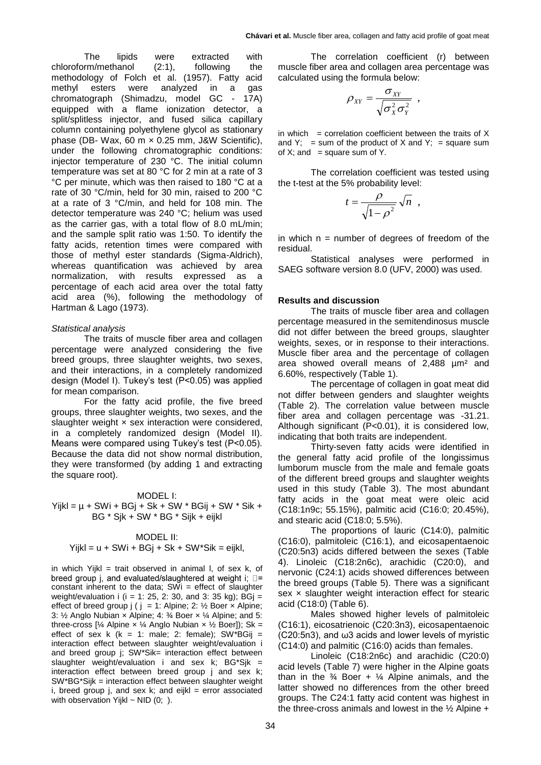The lipids were extracted with chloroform/methanol (2:1), following the methodology of Folch et al. (1957). Fatty acid methyl esters were analyzed in a gas chromatograph (Shimadzu, model GC - 17A) equipped with a flame ionization detector, a split/splitless injector, and fused silica capillary column containing polyethylene glycol as stationary phase (DB- Wax, 60 m  $\times$  0.25 mm, J&W Scientific), under the following chromatographic conditions: injector temperature of 230 °C. The initial column temperature was set at 80 °C for 2 min at a rate of 3 °C per minute, which was then raised to 180 °C at a rate of 30 °C/min, held for 30 min, raised to 200 °C at a rate of 3 °C/min, and held for 108 min. The detector temperature was 240 °C; helium was used as the carrier gas, with a total flow of 8.0 mL/min; and the sample split ratio was 1:50. To identify the fatty acids, retention times were compared with those of methyl ester standards (Sigma-Aldrich), whereas quantification was achieved by area normalization, with results expressed as a percentage of each acid area over the total fatty acid area (%), following the methodology of Hartman & Lago (1973).

#### *Statistical analysis*

The traits of muscle fiber area and collagen percentage were analyzed considering the five breed groups, three slaughter weights, two sexes, and their interactions, in a completely randomized design (Model I). Tukey's test (P<0.05) was applied for mean comparison.

For the fatty acid profile, the five breed groups, three slaughter weights, two sexes, and the slaughter weight  $\times$  sex interaction were considered, in a completely randomized design (Model II). Means were compared using Tukey's test (P<0.05). Because the data did not show normal distribution, they were transformed (by adding 1 and extracting the square root).

#### MODEL I:

 $YijkI = \mu + SWi + BGj + Sk + SW * BGij + SW * Sik +$ BG \* Sjk + SW \* BG \* Sijk + eijkl

#### MODEL II:

#### $Yijkl = u + SWi + BGj + Sk + SW*Sik = eijkl,$

in which Yijkl = trait observed in animal I, of sex  $k$ , of breed group j, and evaluated/slaughtered at weight i;  $\square$ = constant inherent to the data;  $SWi =$  effect of slaughter weight/evaluation i ( $i = 1: 25, 2: 30$ , and 3: 35 kg); BG $j =$ effect of breed group  $j$  (  $j = 1$ : Alpine; 2:  $\frac{1}{2}$  Boer  $\times$  Alpine; 3: ½ Anglo Nubian × Alpine; 4: ¾ Boer × ¼ Alpine; and 5: three-cross [¼ Alpine  $\times$  ¼ Anglo Nubian  $\times$  ½ Boer]); Sk = effect of sex k ( $k = 1$ : male; 2: female); SW\*BGij = interaction effect between slaughter weight/evaluation i and breed group j; SW\*Sik= interaction effect between slaughter weight/evaluation i and sex  $k$ ; BG\*Sj $k =$ interaction effect between breed group j and sex k; SW\*BG\*Sijk = interaction effect between slaughter weight i, breed group j, and sex  $k$ ; and eijkl = error associated with observation Yijkl  $\sim$  NID (0; ).

The correlation coefficient (r) between muscle fiber area and collagen area percentage was calculated using the formula below:

$$
\rho_{XY} = \frac{\sigma_{XY}}{\sqrt{\sigma_X^2 \sigma_Y^2}}
$$

,

in which  $=$  correlation coefficient between the traits of  $X$ and Y; = sum of the product of X and Y; = square sum of  $X$ ; and = square sum of  $Y$ .

The correlation coefficient was tested using the t-test at the 5% probability level:

$$
t = \frac{\rho}{\sqrt{1 - \rho^2}} \sqrt{n} ,
$$

in which  $n =$  number of degrees of freedom of the residual.

Statistical analyses were performed in SAEG software version 8.0 (UFV, 2000) was used.

#### **Results and discussion**

The traits of muscle fiber area and collagen percentage measured in the semitendinosus muscle did not differ between the breed groups, slaughter weights, sexes, or in response to their interactions. Muscle fiber area and the percentage of collagen area showed overall means of 2,488 µm² and 6.60%, respectively (Table 1).

The percentage of collagen in goat meat did not differ between genders and slaughter weights (Table 2). The correlation value between muscle fiber area and collagen percentage was -31.21. Although significant (P<0.01), it is considered low, indicating that both traits are independent.

Thirty-seven fatty acids were identified in the general fatty acid profile of the longissimus lumborum muscle from the male and female goats of the different breed groups and slaughter weights used in this study (Table 3). The most abundant fatty acids in the goat meat were oleic acid (C18:1n9c; 55.15%), palmitic acid (C16:0; 20.45%), and stearic acid (C18:0; 5.5%).

The proportions of lauric (C14:0), palmitic (C16:0), palmitoleic (C16:1), and eicosapentaenoic (C20:5n3) acids differed between the sexes (Table 4). Linoleic (C18:2n6c), arachidic (C20:0), and nervonic (C24:1) acids showed differences between the breed groups (Table 5). There was a significant sex x slaughter weight interaction effect for stearic acid (C18:0) (Table 6).

Males showed higher levels of palmitoleic (C16:1), eicosatrienoic (C20:3n3), eicosapentaenoic (C20:5n3), and ω3 acids and lower levels of myristic (C14:0) and palmitic (C16:0) acids than females.

Linoleic (C18:2n6c) and arachidic (C20:0) acid levels (Table 7) were higher in the Alpine goats than in the  $\frac{3}{4}$  Boer +  $\frac{1}{4}$  Alpine animals, and the latter showed no differences from the other breed groups. The C24:1 fatty acid content was highest in the three-cross animals and lowest in the  $\frac{1}{2}$  Alpine +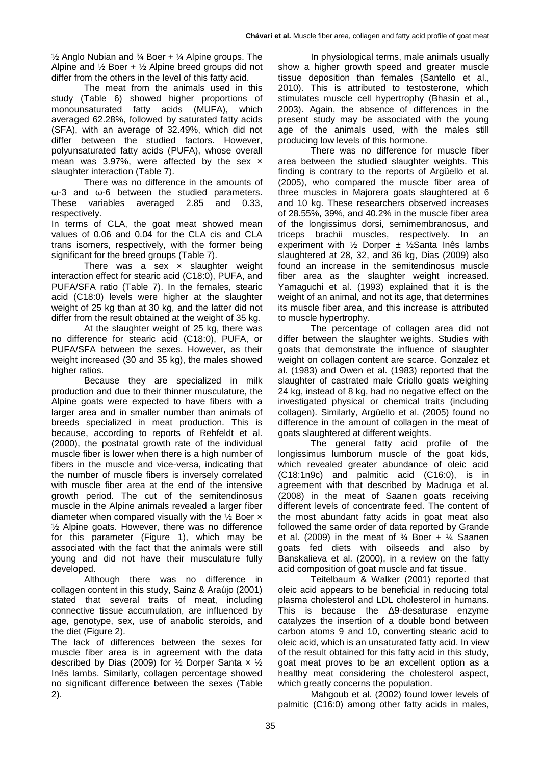$\frac{1}{2}$  Anglo Nubian and  $\frac{3}{4}$  Boer +  $\frac{1}{4}$  Alpine groups. The Alpine and  $\frac{1}{2}$  Boer +  $\frac{1}{2}$  Alpine breed groups did not differ from the others in the level of this fatty acid.

The meat from the animals used in this study (Table 6) showed higher proportions of monounsaturated fatty acids (MUFA), which averaged 62.28%, followed by saturated fatty acids (SFA), with an average of 32.49%, which did not differ between the studied factors. However, polyunsaturated fatty acids (PUFA), whose overall mean was 3.97%, were affected by the sex  $\times$ slaughter interaction (Table 7).

There was no difference in the amounts of ω-3 and ω-6 between the studied parameters. These variables averaged 2.85 and 0.33, respectively.

In terms of CLA, the goat meat showed mean values of 0.06 and 0.04 for the CLA cis and CLA trans isomers, respectively, with the former being significant for the breed groups (Table 7).

There was a sex  $\times$  slaughter weight interaction effect for stearic acid (C18:0), PUFA, and PUFA/SFA ratio (Table 7). In the females, stearic acid (C18:0) levels were higher at the slaughter weight of 25 kg than at 30 kg, and the latter did not differ from the result obtained at the weight of 35 kg.

At the slaughter weight of 25 kg, there was no difference for stearic acid (C18:0), PUFA, or PUFA/SFA between the sexes. However, as their weight increased (30 and 35 kg), the males showed higher ratios.

Because they are specialized in milk production and due to their thinner musculature, the Alpine goats were expected to have fibers with a larger area and in smaller number than animals of breeds specialized in meat production. This is because, according to reports of Rehfeldt et al. (2000), the postnatal growth rate of the individual muscle fiber is lower when there is a high number of fibers in the muscle and vice-versa, indicating that the number of muscle fibers is inversely correlated with muscle fiber area at the end of the intensive growth period. The cut of the semitendinosus muscle in the Alpine animals revealed a larger fiber diameter when compared visually with the  $\frac{1}{2}$  Boer  $\times$ ½ Alpine goats. However, there was no difference for this parameter (Figure 1), which may be associated with the fact that the animals were still young and did not have their musculature fully developed.

Although there was no difference in collagen content in this study, Sainz & Araújo (2001) stated that several traits of meat, including connective tissue accumulation, are influenced by age, genotype, sex, use of anabolic steroids, and the diet (Figure 2).

The lack of differences between the sexes for muscle fiber area is in agreement with the data described by Dias (2009) for  $\frac{1}{2}$  Dorper Santa x  $\frac{1}{2}$ Inês lambs. Similarly, collagen percentage showed no significant difference between the sexes (Table 2).

In physiological terms, male animals usually show a higher growth speed and greater muscle tissue deposition than females (Santello et al., 2010). This is attributed to testosterone, which stimulates muscle cell hypertrophy (Bhasin et al., 2003). Again, the absence of differences in the present study may be associated with the young age of the animals used, with the males still producing low levels of this hormone.

There was no difference for muscle fiber area between the studied slaughter weights. This finding is contrary to the reports of Argüello et al. (2005), who compared the muscle fiber area of three muscles in Majorera goats slaughtered at 6 and 10 kg. These researchers observed increases of 28.55%, 39%, and 40.2% in the muscle fiber area of the longissimus dorsi, semimembranosus, and triceps brachii muscles, respectively. In an experiment with ½ Dorper ± ½Santa Inês lambs slaughtered at 28, 32, and 36 kg, Dias (2009) also found an increase in the semitendinosus muscle fiber area as the slaughter weight increased. Yamaguchi et al. (1993) explained that it is the weight of an animal, and not its age, that determines its muscle fiber area, and this increase is attributed to muscle hypertrophy.

The percentage of collagen area did not differ between the slaughter weights. Studies with goats that demonstrate the influence of slaughter weight on collagen content are scarce. Gonzalez et al. (1983) and Owen et al. (1983) reported that the slaughter of castrated male Criollo goats weighing 24 kg, instead of 8 kg, had no negative effect on the investigated physical or chemical traits (including collagen). Similarly, Argüello et al. (2005) found no difference in the amount of collagen in the meat of goats slaughtered at different weights.

The general fatty acid profile of the longissimus lumborum muscle of the goat kids, which revealed greater abundance of oleic acid (C18:1n9c) and palmitic acid (C16:0), is in agreement with that described by Madruga et al. (2008) in the meat of Saanen goats receiving different levels of concentrate feed. The content of the most abundant fatty acids in goat meat also followed the same order of data reported by Grande et al. (2009) in the meat of  $\frac{3}{4}$  Boer +  $\frac{1}{4}$  Saanen goats fed diets with oilseeds and also by Banskalieva et al. (2000), in a review on the fatty acid composition of goat muscle and fat tissue.

Teitelbaum & Walker (2001) reported that oleic acid appears to be beneficial in reducing total plasma cholesterol and LDL cholesterol in humans. This is because the Δ9-desaturase enzyme catalyzes the insertion of a double bond between carbon atoms 9 and 10, converting stearic acid to oleic acid, which is an unsaturated fatty acid. In view of the result obtained for this fatty acid in this study, goat meat proves to be an excellent option as a healthy meat considering the cholesterol aspect, which greatly concerns the population.

Mahgoub et al. (2002) found lower levels of palmitic (C16:0) among other fatty acids in males,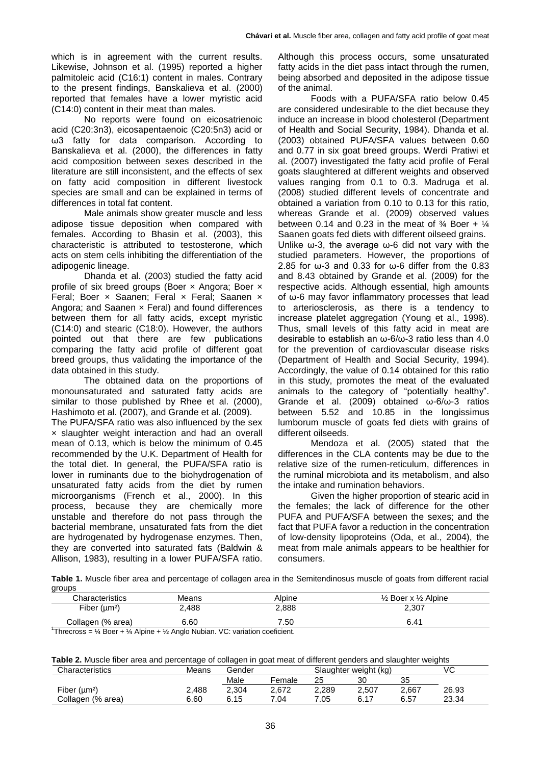which is in agreement with the current results. Likewise, Johnson et al. (1995) reported a higher palmitoleic acid (C16:1) content in males. Contrary to the present findings, Banskalieva et al. (2000) reported that females have a lower myristic acid (C14:0) content in their meat than males.

No reports were found on eicosatrienoic acid (C20:3n3), eicosapentaenoic (C20:5n3) acid or ω3 fatty for data comparison. According to Banskalieva et al. (2000), the differences in fatty acid composition between sexes described in the literature are still inconsistent, and the effects of sex on fatty acid composition in different livestock species are small and can be explained in terms of differences in total fat content.

Male animals show greater muscle and less adipose tissue deposition when compared with females. According to Bhasin et al. (2003), this characteristic is attributed to testosterone, which acts on stem cells inhibiting the differentiation of the adipogenic lineage.

Dhanda et al. (2003) studied the fatty acid profile of six breed groups (Boer × Angora; Boer × Feral; Boer x Saanen; Feral x Feral; Saanen x Angora; and Saanen  $\times$  Feral) and found differences between them for all fatty acids, except myristic (C14:0) and stearic (C18:0). However, the authors pointed out that there are few publications comparing the fatty acid profile of different goat breed groups, thus validating the importance of the data obtained in this study.

The obtained data on the proportions of monounsaturated and saturated fatty acids are similar to those published by Rhee et al. (2000), Hashimoto et al. (2007), and Grande et al. (2009).

The PUFA/SFA ratio was also influenced by the sex × slaughter weight interaction and had an overall mean of 0.13, which is below the minimum of 0.45 recommended by the U.K. Department of Health for the total diet. In general, the PUFA/SFA ratio is lower in ruminants due to the biohydrogenation of unsaturated fatty acids from the diet by rumen microorganisms (French et al., 2000). In this process, because they are chemically more unstable and therefore do not pass through the bacterial membrane, unsaturated fats from the diet are hydrogenated by hydrogenase enzymes. Then, they are converted into saturated fats (Baldwin & Allison, 1983), resulting in a lower PUFA/SFA ratio.

Although this process occurs, some unsaturated fatty acids in the diet pass intact through the rumen. being absorbed and deposited in the adipose tissue of the animal.

Foods with a PUFA/SFA ratio below 0.45 are considered undesirable to the diet because they induce an increase in blood cholesterol (Department of Health and Social Security, 1984). Dhanda et al. (2003) obtained PUFA/SFA values between 0.60 and 0.77 in six goat breed groups. Werdi Pratiwi et al. (2007) investigated the fatty acid profile of Feral goats slaughtered at different weights and observed values ranging from 0.1 to 0.3. Madruga et al. (2008) studied different levels of concentrate and obtained a variation from 0.10 to 0.13 for this ratio, whereas Grande et al. (2009) observed values between 0.14 and 0.23 in the meat of  $\frac{3}{4}$  Boer +  $\frac{1}{4}$ Saanen goats fed diets with different oilseed grains. Unlike ω-3, the average ω-6 did not vary with the studied parameters. However, the proportions of 2.85 for  $\omega$ -3 and 0.33 for  $\omega$ -6 differ from the 0.83 and 8.43 obtained by Grande et al. (2009) for the respective acids. Although essential, high amounts of ω-6 may favor inflammatory processes that lead to arteriosclerosis, as there is a tendency to increase platelet aggregation (Young et al., 1998). Thus, small levels of this fatty acid in meat are desirable to establish an ω-6/ω-3 ratio less than 4.0 for the prevention of cardiovascular disease risks (Department of Health and Social Security, 1994). Accordingly, the value of 0.14 obtained for this ratio in this study, promotes the meat of the evaluated animals to the category of "potentially healthy". Grande et al. (2009) obtained ω-6/ω-3 ratios between 5.52 and 10.85 in the longissimus lumborum muscle of goats fed diets with grains of different oilseeds.

Mendoza et al. (2005) stated that the differences in the CLA contents may be due to the relative size of the rumen-reticulum, differences in the ruminal microbiota and its metabolism, and also the intake and rumination behaviors.

Given the higher proportion of stearic acid in the females; the lack of difference for the other PUFA and PUFA/SFA between the sexes; and the fact that PUFA favor a reduction in the concentration of low-density lipoproteins (Oda, et al., 2004), the meat from male animals appears to be healthier for consumers.

**Table 1.** Muscle fiber area and percentage of collagen area in the Semitendinosus muscle of goats from different racial groups

| Characteristics                                                                                                 | Means | Alpine | $\frac{1}{2}$ Boer x $\frac{1}{2}$ Alpine |
|-----------------------------------------------------------------------------------------------------------------|-------|--------|-------------------------------------------|
| Fiber $(\mu m^2)$                                                                                               | 2,488 | 2.888  | 2.307                                     |
| Collagen (% area)                                                                                               | 6.60  | 7.50   | 6.41                                      |
| $1$ Throspace $\frac{1}{2}$ Roos $\frac{1}{2}$ Alpino $\frac{1}{2}$ Angle Nubian $1/\Omega$ variation confident |       |        |                                           |

Threcross =  $\frac{1}{4}$  Boer +  $\frac{1}{4}$  Alpine +  $\frac{1}{2}$  Anglo Nubian. VC: variation coeficient.

**Table 2.** Muscle fiber area and percentage of collagen in goat meat of different genders and slaughter weights

| Characteristics                | Means | Gender | Slaughter weight (kg) |       |       | VC    |       |  |
|--------------------------------|-------|--------|-----------------------|-------|-------|-------|-------|--|
|                                |       | Male   | Female                | 25    | 30    | 35    |       |  |
| Fiber ( $\mu$ m <sup>2</sup> ) | 2,488 | 2.304  | 2,672                 | 2.289 | 2,507 | 2,667 | 26.93 |  |
| Collagen (% area)              | 6.60  | 6.15   | 7.04                  | 7.05  | υ.    | 6.57  | 23.34 |  |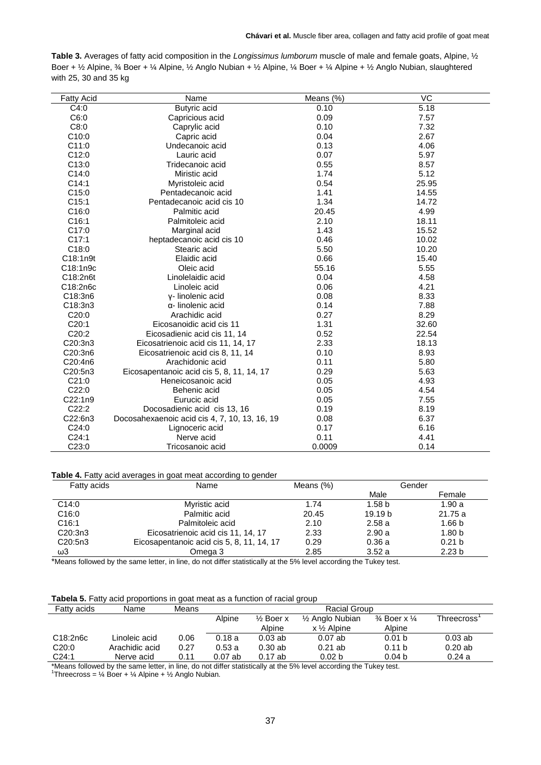| Table 3. Averages of fatty acid composition in the Longissimus lumborum muscle of male and female goats, Alpine, $\frac{1}{2}$                                                                                 |
|----------------------------------------------------------------------------------------------------------------------------------------------------------------------------------------------------------------|
| Boer + $\frac{1}{2}$ Alpine, $\frac{3}{4}$ Boer + $\frac{1}{4}$ Alpine, $\frac{1}{2}$ Anglo Nubian + $\frac{1}{2}$ Alpine, $\frac{1}{4}$ Boer + $\frac{1}{4}$ Alpine + $\frac{1}{2}$ Anglo Nubian, slaughtered |
| with 25, 30 and 35 kg                                                                                                                                                                                          |

| <b>Fatty Acid</b> | Name                                          | Means (%) | VC    |
|-------------------|-----------------------------------------------|-----------|-------|
| C4:0              | Butyric acid                                  | 0.10      | 5.18  |
| C6:0              | Capricious acid                               | 0.09      | 7.57  |
| C8:0              | Caprylic acid                                 | 0.10      | 7.32  |
| C10:0             | Capric acid                                   | 0.04      | 2.67  |
| C11:0             | Undecanoic acid                               | 0.13      | 4.06  |
| C12:0             | Lauric acid                                   | 0.07      | 5.97  |
| C13:0             | Tridecanoic acid                              | 0.55      | 8.57  |
| C14:0             | Miristic acid                                 | 1.74      | 5.12  |
| C14:1             | Myristoleic acid                              | 0.54      | 25.95 |
| C15:0             | Pentadecanoic acid                            | 1.41      | 14.55 |
| C15:1             | Pentadecanoic acid cis 10                     | 1.34      | 14.72 |
| C16:0             | Palmitic acid                                 | 20.45     | 4.99  |
| C16:1             | Palmitoleic acid                              | 2.10      | 18.11 |
| C17:0             | Marginal acid                                 | 1.43      | 15.52 |
| C17:1             | heptadecanoic acid cis 10                     | 0.46      | 10.02 |
| C18:0             | Stearic acid                                  | 5.50      | 10.20 |
| C18:1n9t          | Elaidic acid                                  | 0.66      | 15.40 |
| C18:1n9c          | Oleic acid                                    | 55.16     | 5.55  |
| C18:2n6t          | Linolelaidic acid                             | 0.04      | 4.58  |
| C18:2n6c          | Linoleic acid                                 | 0.06      | 4.21  |
| C18:3n6           | y-linolenic acid                              | 0.08      | 8.33  |
| C18:3n3           | α- linolenic acid                             | 0.14      | 7.88  |
| C20:0             | Arachidic acid                                | 0.27      | 8.29  |
| C20:1             | Eicosanoidic acid cis 11                      | 1.31      | 32.60 |
| C20:2             | Eicosadienic acid cis 11, 14                  | 0.52      | 22.54 |
| C20:3n3           | Eicosatrienoic acid cis 11, 14, 17            | 2.33      | 18.13 |
| C20:3n6           | Eicosatrienoic acid cis 8, 11, 14             | 0.10      | 8.93  |
| C20:4n6           | Arachidonic acid                              | 0.11      | 5.80  |
| C20:5n3           | Eicosapentanoic acid cis 5, 8, 11, 14, 17     | 0.29      | 5.63  |
| C21:0             | Heneicosanoic acid                            | 0.05      | 4.93  |
| C22:0             | Behenic acid                                  | 0.05      | 4.54  |
| C22:1n9           | Eurucic acid                                  | 0.05      | 7.55  |
| C22:2             | Docosadienic acid cis 13, 16                  | 0.19      | 8.19  |
| C22:6n3           | Docosahexaenoic acid cis 4, 7, 10, 13, 16, 19 | 0.08      | 6.37  |
| C24:0             | Lignoceric acid                               | 0.17      | 6.16  |
| C24:1             | Nerve acid                                    | 0.11      | 4.41  |
| C23:0             | Tricosanoic acid                              | 0.0009    | 0.14  |

### Table 4. Fatty acid averages in goat meat according to gender

| Fatty acids          | Name                                      | Means (%) | Gender             |                   |
|----------------------|-------------------------------------------|-----------|--------------------|-------------------|
|                      |                                           |           | Male               | Female            |
| C14:0                | Myristic acid                             | 1.74      | 1.58 <sub>b</sub>  | 1.90a             |
| C16:0                | Palmitic acid                             | 20.45     | 19.19 <sub>b</sub> | 21.75 a           |
| C16:1                | Palmitoleic acid                          | 2.10      | 2.58a              | 1.66 b            |
| C <sub>20</sub> :3n3 | Eicosatrienoic acid cis 11, 14, 17        | 2.33      | 2.90a              | 1.80 <sub>b</sub> |
| C <sub>20</sub> :5n3 | Eicosapentanoic acid cis 5, 8, 11, 14, 17 | 0.29      | 0.36a              | 0.21 b            |
| ω3                   | Omega 3                                   | 2.85      | 3.52a              | 2.23 <sub>b</sub> |

\*Means followed by the same letter, in line, do not differ statistically at the 5% level according the Tukey test.

# **Tabela 5.** Fatty acid proportions in goat meat as a function of racial group

| <b>Fatty acids</b> | Name           | Means | Racial Group |                      |                              |                                    |             |  |  |  |
|--------------------|----------------|-------|--------------|----------------------|------------------------------|------------------------------------|-------------|--|--|--|
|                    |                |       | Alpine       | $\frac{1}{2}$ Boer x | 1/ <sub>2</sub> Anglo Nubian | $\frac{3}{4}$ Boer x $\frac{1}{4}$ | Threecross' |  |  |  |
|                    |                |       |              | Alpine               | $x \frac{1}{2}$ Alpine       | Alpine                             |             |  |  |  |
| C18:2n6c           | Linoleic acid  | 0.06  | 0.18a        | $0.03$ ab            | $0.07$ ab                    | 0.01 <sub>b</sub>                  | $0.03$ ab   |  |  |  |
| C20:0              | Arachidic acid | 0.27  | 0.53a        | 0.30ab               | $0.21$ ab                    | 0.11 <sub>b</sub>                  | 0.20ab      |  |  |  |
| C24:1              | Nerve acid     | 0.11  | $0.07$ ab    | $0.17$ ab            | 0.02 <sub>b</sub>            | 0.04 <sub>b</sub>                  | 0.24a       |  |  |  |

\*Means followed by the same letter, in line, do not differ statistically at the 5% level according the Tukey test. 1 Threecross = ¼ Boer + ¼ Alpine + ½ Anglo Nubian.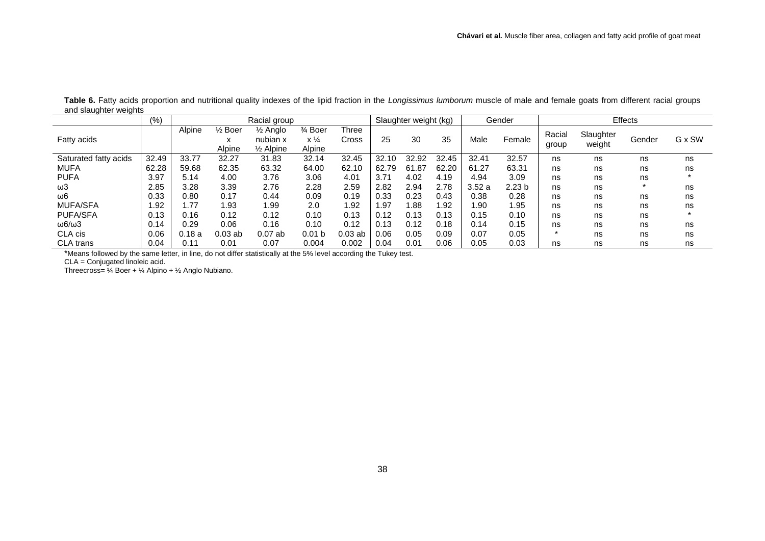|                        | (%)         |        |                                   | Racial group                                |                                                |                       |       | Slaughter weight (kg) |       |       | Gender            |                 |                     | Effects |         |
|------------------------|-------------|--------|-----------------------------------|---------------------------------------------|------------------------------------------------|-----------------------|-------|-----------------------|-------|-------|-------------------|-----------------|---------------------|---------|---------|
| Fatty acids            |             | Alpine | $\frac{1}{2}$ Boer<br>ᄉ<br>Alpine | ½ Anglo<br>nubian x<br>$\frac{1}{2}$ Alpine | $\frac{3}{4}$ Boer<br>$x\frac{1}{4}$<br>Alpine | <b>Three</b><br>Cross | 25    | 30                    | 35    | Male  | Female            | Racial<br>group | Slaughter<br>weight | Gender  | G x SW  |
| Saturated fatty acids  | 32.49       | 33.77  | 32.27                             | 31.83                                       | 32.14                                          | 32.45                 | 32.10 | 32.92                 | 32.45 | 32.41 | 32.57             | ns              | ns                  | ns      | ns      |
| <b>MUFA</b>            | 62.28       | 59.68  | 62.35                             | 63.32                                       | 64.00                                          | 62.10                 | 62.79 | .87<br>61             | 62.20 | 61.27 | 63.31             | ns              | ns                  | ns      | ns      |
| <b>PUFA</b>            | 3.97        | 5.14   | 4.00                              | 3.76                                        | 3.06                                           | 4.01                  | 3.71  | 4.02                  | 4.19  | 4.94  | 3.09              | ns              | ns                  | ns      |         |
| ω3                     | 2.85        | 3.28   | 3.39                              | 2.76                                        | 2.28                                           | 2.59                  | 2.82  | 2.94                  | 2.78  | 3.52a | 2.23 <sub>b</sub> | ns              | ns                  |         | ns      |
| $\omega$ 6             | 0.33        | 0.80   | 0.17                              | 0.44                                        | 0.09                                           | 0.19                  | 0.33  | 0.23                  | 0.43  | 0.38  | 0.28              | ns              | ns                  | ns      | ns      |
| <b>MUFA/SFA</b>        | <b>1.92</b> | .77    | 1.93                              | l.99                                        | 2.0                                            | l.92                  | 1.97  | .88                   | .92   | 1.90  | 1.95              | ns              | ns                  | ns      | ns      |
| <b>PUFA/SFA</b>        | 0.13        | 0.16   | 0.12                              | 0.12                                        | 0.10                                           | 0.13                  | 0.12  | 0.13                  | 0.13  | 0.15  | 0.10              | ns              | ns                  | ns      | $\star$ |
| $\omega$ 6/ $\omega$ 3 | 0.14        | 0.29   | 0.06                              | 0.16                                        | 0.10                                           | 0.12                  | 0.13  | 0.12                  | 0.18  | 0.14  | 0.15              | ns              | ns                  | ns      | ns      |
| CLA cis                | 0.06        | 0.18a  | $0.03$ ab                         | $0.07$ ab                                   | 0.01 <sub>b</sub>                              | $0.03$ ab             | 0.06  | 0.05                  | 0.09  | 0.07  | 0.05              |                 | ns                  | ns      | ns      |
| <b>CLA</b> trans       | 0.04        | 0.11   | 0.01                              | 0.07                                        | 0.004                                          | 0.002                 | 0.04  | 0.01                  | 0.06  | 0.05  | 0.03              | ns              | ns                  | ns      | ns      |

**Table 6.** Fatty acids proportion and nutritional quality indexes of the lipid fraction in the *Longissimus lumborum* muscle of male and female goats from different racial groups and slaughter weights

\*Means followed by the same letter, in line, do not differ statistically at the 5% level according the Tukey test.

CLA = Conjugated linoleic acid.

Threecross= ¼ Boer + ¼ Alpino + ½ Anglo Nubiano.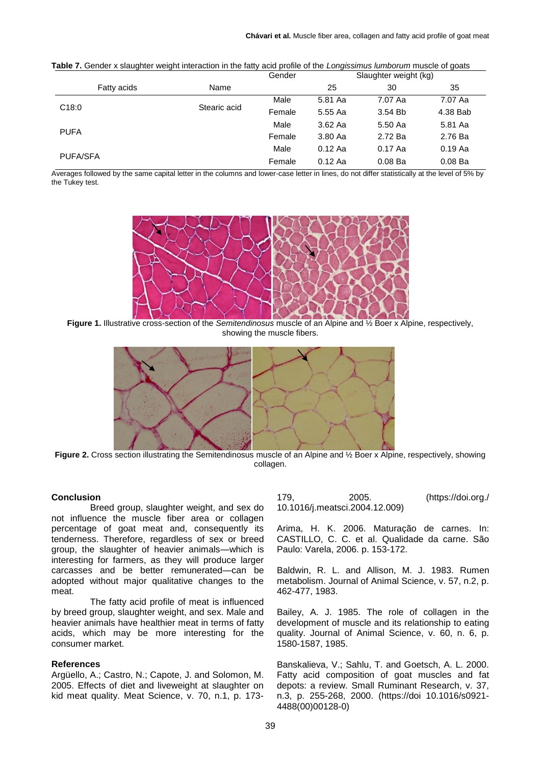|                 |              | Gender |           | $\sim$<br>Slaughter weight (kg) |           |
|-----------------|--------------|--------|-----------|---------------------------------|-----------|
| Fatty acids     | Name         |        | 25        | 30                              | 35        |
|                 |              | Male   | 5.81 Aa   | 7.07 Aa                         | 7.07 Aa   |
| C18:0           | Stearic acid | Female | 5.55 Aa   | 3.54 Bb                         | 4.38 Bab  |
|                 |              | Male   | 3.62 Aa   | 5.50 Aa                         | 5.81 Aa   |
| <b>PUFA</b>     |              | Female | 3.80 Aa   | 2.72 Ba                         | 2.76 Ba   |
|                 |              | Male   | $0.12$ Aa | 0.17 Aa                         | $0.19$ Aa |
| <b>PUFA/SFA</b> |              | Female | $0.12$ Aa | 0.08 <sub>Ba</sub>              | 0.08 Ba   |

**Table 7.** Gender x slaughter weight interaction in the fatty acid profile of the *Longissimus lumborum* muscle of goats

Averages followed by the same capital letter in the columns and lower-case letter in lines, do not differ statistically at the level of 5% by the Tukey test.



**Figure 1.** Illustrative cross-section of the *Semitendinosus* muscle of an Alpine and ½ Boer x Alpine, respectively, showing the muscle fibers.



**Figure 2.** Cross section illustrating the Semitendinosus muscle of an Alpine and ½ Boer x Alpine, respectively, showing collagen.

### **Conclusion**

Breed group, slaughter weight, and sex do not influence the muscle fiber area or collagen percentage of goat meat and, consequently its tenderness. Therefore, regardless of sex or breed group, the slaughter of heavier animals—which is interesting for farmers, as they will produce larger carcasses and be better remunerated—can be adopted without major qualitative changes to the meat.

The fatty acid profile of meat is influenced by breed group, slaughter weight, and sex. Male and heavier animals have healthier meat in terms of fatty acids, which may be more interesting for the consumer market.

#### **References**

Argüello, A.; Castro, N.; Capote, J. and Solomon, M. 2005. Effects of diet and liveweight at slaughter on kid meat quality. Meat Science, v. 70, n.1, p. 173179, 2005. (https://doi.org./ 10.1016/j.meatsci.2004.12.009)

Arima, H. K. 2006. Maturação de carnes. In: CASTILLO, C. C. et al. Qualidade da carne. São Paulo: Varela, 2006. p. 153-172.

Baldwin, R. L. and Allison, M. J. 1983. Rumen metabolism. Journal of Animal Science, v. 57, n.2, p. 462-477, 1983.

Bailey, A. J. 1985. The role of collagen in the development of muscle and its relationship to eating quality. Journal of Animal Science, v. 60, n. 6, p. 1580-1587, 1985.

Banskalieva, V.; Sahlu, T. and Goetsch, A. L. 2000. Fatty acid composition of goat muscles and fat depots: a review. Small Ruminant Research, v. 37, n.3, p. 255-268, 2000. (https://doi 10.1016/s0921- 4488(00)00128-0)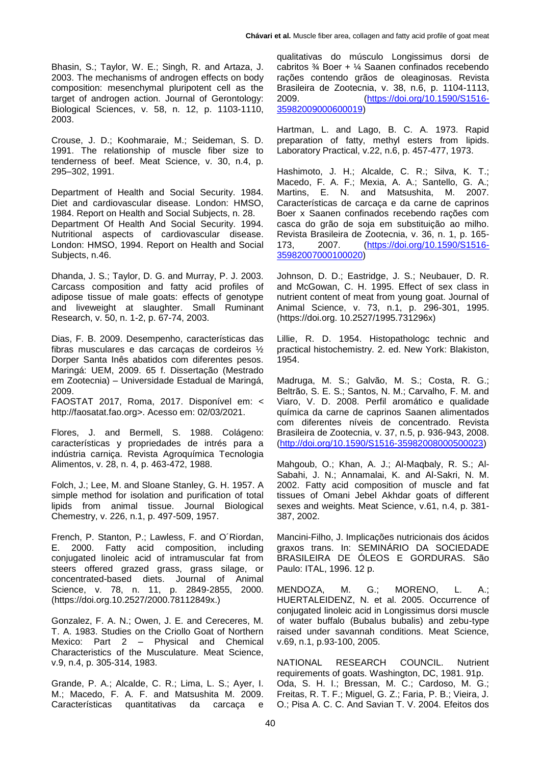Bhasin, S.; Taylor, W. E.; Singh, R. and Artaza, J. 2003. The mechanisms of androgen effects on body composition: mesenchymal pluripotent cell as the target of androgen action. Journal of Gerontology: Biological Sciences, v. 58, n. 12, p. 1103-1110, 2003.

Crouse, J. D.; Koohmaraie, M.; Seideman, S. D. 1991. The relationship of muscle fiber size to tenderness of beef. Meat Science, v. 30, n.4, p. 295–302, 1991.

Department of Health and Social Security. 1984. Diet and cardiovascular disease. London: HMSO, 1984. Report on Health and Social Subjects, n. 28. Department Of Health And Social Security. 1994. Nutritional aspects of cardiovascular disease. London: HMSO, 1994. Report on Health and Social Subjects, n.46.

Dhanda, J. S.; Taylor, D. G. and Murray, P. J. 2003. Carcass composition and fatty acid profiles of adipose tissue of male goats: effects of genotype and liveweight at slaughter. Small Ruminant Research, v. 50, n. 1-2, p. 67-74, 2003.

Dias, F. B. 2009. Desempenho, características das fibras musculares e das carcaças de cordeiros ½ Dorper Santa Inês abatidos com diferentes pesos. Maringá: UEM, 2009. 65 f. Dissertação (Mestrado em Zootecnia) – Universidade Estadual de Maringá, 2009.

FAOSTAT 2017, Roma, 2017. Disponível em: < http://faosatat.fao.org>. Acesso em: 02/03/2021.

Flores, J. and Bermell, S. 1988. Colágeno: características y propriedades de intrés para a indústria carniça. Revista Agroquímica Tecnologia Alimentos, v. 28, n. 4, p. 463-472, 1988.

Folch, J.; Lee, M. and Sloane Stanley, G. H. 1957. A simple method for isolation and purification of total lipids from animal tissue. Journal Biological Chemestry, v. 226, n.1, p. 497-509, 1957.

French, P. Stanton, P.; Lawless, F. and O´Riordan, E. 2000. Fatty acid composition, including conjugated linoleic acid of intramuscular fat from steers offered grazed grass, grass silage, or concentrated-based diets. Journal of Animal Science, v. 78, n. 11, p. 2849-2855, 2000. (https://doi.org.10.2527/2000.78112849x.)

Gonzalez, F. A. N.; Owen, J. E. and Cereceres, M. T. A. 1983. Studies on the Criollo Goat of Northern Mexico: Part 2 – Physical and Chemical Characteristics of the Musculature. Meat Science, v.9, n.4, p. 305-314, 1983.

Grande, P. A.; Alcalde, C. R.; Lima, L. S.; Ayer, I. M.; Macedo, F. A. F. and Matsushita M. 2009. Características quantitativas da carcaça e qualitativas do músculo Longissimus dorsi de cabritos ¾ Boer + ¼ Saanen confinados recebendo rações contendo grãos de oleaginosas. Revista Brasileira de Zootecnia, v. 38, n.6, p. 1104-1113, 2009. [\(https://doi.org/10.1590/S1516-](https://doi.org/10.1590/S1516-35982009000600019) [35982009000600019\)](https://doi.org/10.1590/S1516-35982009000600019)

Hartman, L. and Lago, B. C. A. 1973. Rapid preparation of fatty, methyl esters from lipids. Laboratory Practical, v.22, n.6, p. 457-477, 1973.

Hashimoto, J. H.; Alcalde, C. R.; Silva, K. T.; Macedo, F. A. F.; Mexia, A. A.; Santello, G. A.; Martins, E. N. and Matsushita, M. 2007. Características de carcaça e da carne de caprinos Boer x Saanen confinados recebendo rações com casca do grão de soja em substituição ao milho. Revista Brasileira de Zootecnia, v. 36, n. 1, p. 165-<br>173. 2007. (https://doi.org/10.1590/S1516-173, 2007. [\(https://doi.org/10.1590/S1516-](https://doi.org/10.1590/S1516-35982007000100020) [35982007000100020\)](https://doi.org/10.1590/S1516-35982007000100020)

Johnson, D. D.; Eastridge, J. S.; Neubauer, D. R. and McGowan, C. H. 1995. Effect of sex class in nutrient content of meat from young goat. Journal of Animal Science, v. 73, n.1, p. 296-301, 1995. (https://doi.org. 10.2527/1995.731296x)

Lillie, R. D. 1954. Histopathologc technic and practical histochemistry. 2. ed. New York: Blakiston, 1954.

Madruga, M. S.; Galvão, M. S.; Costa, R. G.; Beltrão, S. E. S.; Santos, N. M.; Carvalho, F. M. and Viaro, V. D. 2008. Perfil aromático e qualidade química da carne de caprinos Saanen alimentados com diferentes níveis de concentrado. Revista Brasileira de Zootecnia, v. 37, n.5, p. 936-943, 2008. [\(http://doi.org/10.1590/S1516-35982008000500023\)](http://doi.org/10.1590/S1516-35982008000500023)

Mahgoub, O.; Khan, A. J.; Al-Maqbaly, R. S.; Al-Sabahi, J. N.; Annamalai, K. and Al-Sakri, N. M. 2002. Fatty acid composition of muscle and fat tissues of Omani Jebel Akhdar goats of different sexes and weights. Meat Science, v.61, n.4, p. 381- 387, 2002.

Mancini-Filho, J. Implicações nutricionais dos ácidos graxos trans. In: SEMINÁRIO DA SOCIEDADE BRASILEIRA DE ÓLEOS E GORDURAS. São Paulo: ITAL, 1996. 12 p.

MENDOZA, M. G.; MORENO, L. A.; HUERTALEIDENZ, N. et al. 2005. Occurrence of conjugated linoleic acid in Longissimus dorsi muscle of water buffalo (Bubalus bubalis) and zebu-type raised under savannah conditions. Meat Science, v.69, n.1, p.93-100, 2005.

NATIONAL RESEARCH COUNCIL. Nutrient requirements of goats. Washington, DC, 1981. 91p. Oda, S. H. I.; Bressan, M. C.; Cardoso, M. G.; Freitas, R. T. F.; Miguel, G. Z.; Faria, P. B.; Vieira, J. O.; Pisa A. C. C. And Savian T. V. 2004. Efeitos dos